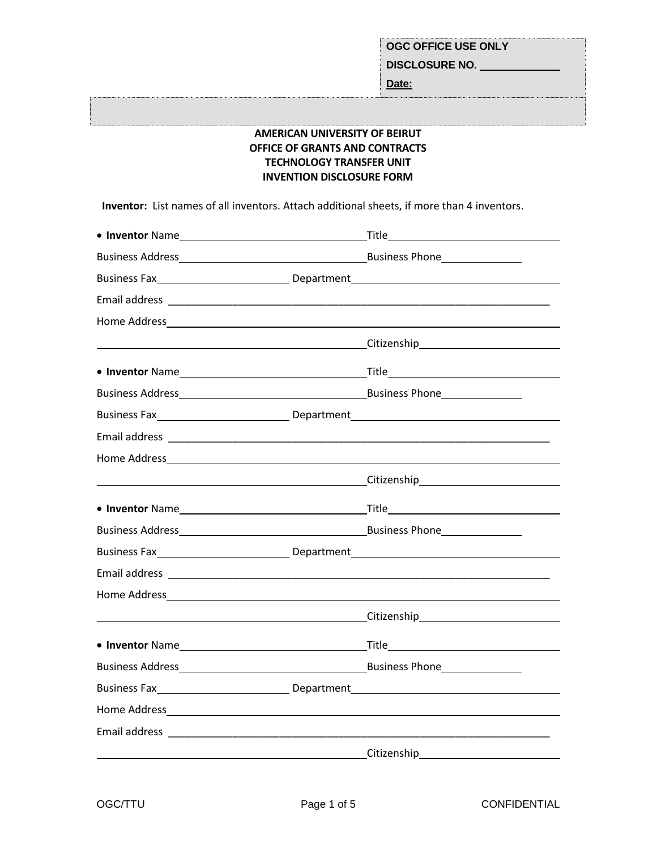**Date:**

# **AMERICAN UNIVERSITY OF BEIRUT OFFICE OF GRANTS AND CONTRACTS TECHNOLOGY TRANSFER UNIT INVENTION DISCLOSURE FORM**

 **Inventor:** List names of all inventors. Attach additional sheets, if more than 4 inventors.

|  | Business Fax__________________________________Department_________________________                                                                                                                                                    |
|--|--------------------------------------------------------------------------------------------------------------------------------------------------------------------------------------------------------------------------------------|
|  |                                                                                                                                                                                                                                      |
|  |                                                                                                                                                                                                                                      |
|  | <u>Citizenship and the contract of the contract of the contract of the contract of the contract of the contract of the contract of the contract of the contract of the contract of the contract of the contract of the contract </u> |
|  |                                                                                                                                                                                                                                      |
|  |                                                                                                                                                                                                                                      |
|  | Business Fax______________________________Department____________________________                                                                                                                                                     |
|  |                                                                                                                                                                                                                                      |
|  |                                                                                                                                                                                                                                      |
|  | <u>Citizenship Citizenship and the contract of the contract of the contract of the contract of the contract of the contract of the contract of the contract of the contract of the contract of the contract of the contract of t</u> |
|  |                                                                                                                                                                                                                                      |
|  |                                                                                                                                                                                                                                      |
|  | Business Fax_____________________________Department_____________________________                                                                                                                                                     |
|  |                                                                                                                                                                                                                                      |
|  |                                                                                                                                                                                                                                      |
|  |                                                                                                                                                                                                                                      |
|  |                                                                                                                                                                                                                                      |
|  |                                                                                                                                                                                                                                      |
|  | Business Fax__________________________________Department_________________________                                                                                                                                                    |
|  |                                                                                                                                                                                                                                      |
|  |                                                                                                                                                                                                                                      |
|  | Citizenship                                                                                                                                                                                                                          |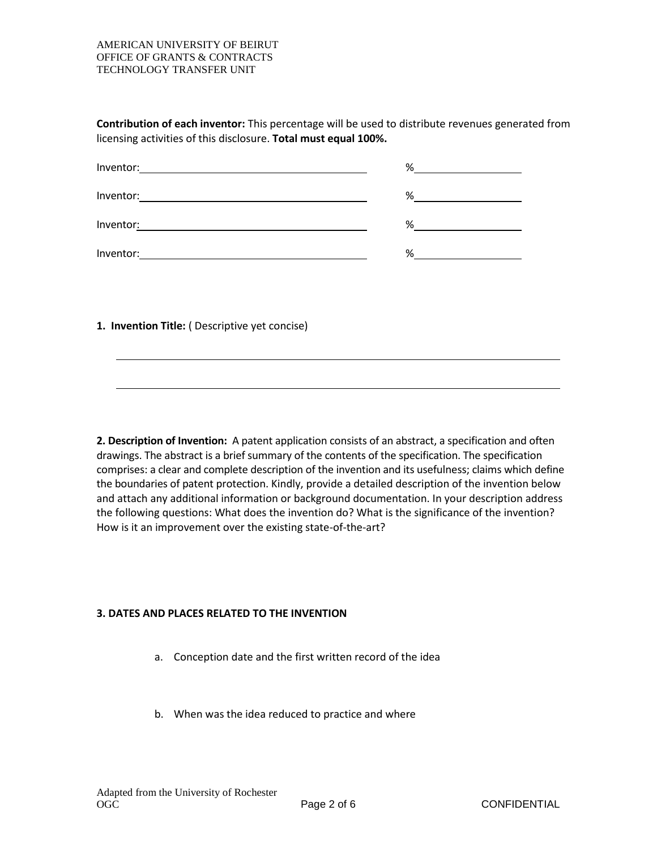#### AMERICAN UNIVERSITY OF BEIRUT OFFICE OF GRANTS & CONTRACTS TECHNOLOGY TRANSFER UNIT

**Contribution of each inventor:** This percentage will be used to distribute revenues generated from licensing activities of this disclosure. **Total must equal 100%.**

| Inventor: | % |
|-----------|---|
| Inventor: | % |
| Inventor: | % |
| Inventor: | % |

**1. Invention Title:** ( Descriptive yet concise)

**2. Description of Invention:** A patent application consists of an abstract, a specification and often drawings. The abstract is a brief summary of the contents of the specification. The specification comprises: a clear and complete description of the invention and its usefulness; claims which define the boundaries of patent protection. Kindly, provide a detailed description of the invention below and attach any additional information or background documentation. In your description address the following questions: What does the invention do? What is the significance of the invention? How is it an improvement over the existing state-of-the-art?

## **3. DATES AND PLACES RELATED TO THE INVENTION**

- a. Conception date and the first written record of the idea
- b. When was the idea reduced to practice and where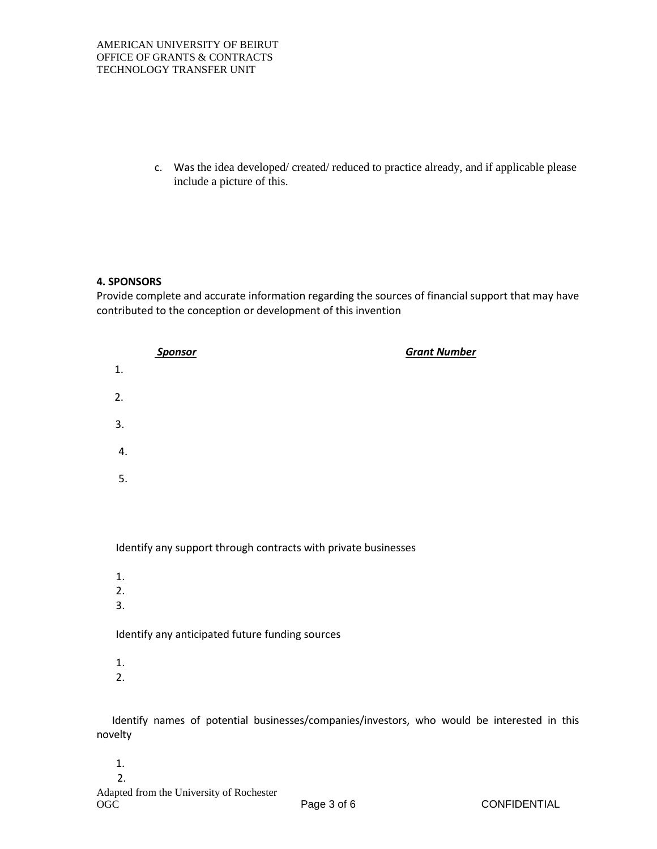c. Was the idea developed/ created/ reduced to practice already, and if applicable please include a picture of this.

### **4. SPONSORS**

Provide complete and accurate information regarding the sources of financial support that may have contributed to the conception or development of this invention



Identify any support through contracts with private businesses

- 1.
- 2.
- 3.

Identify any anticipated future funding sources

- 1.
- 2.

 Identify names of potential businesses/companies/investors, who would be interested in this novelty

- 1.
- 2.

Adapted from the University of Rochester OGC Page 3 of 6 CONFIDENTIAL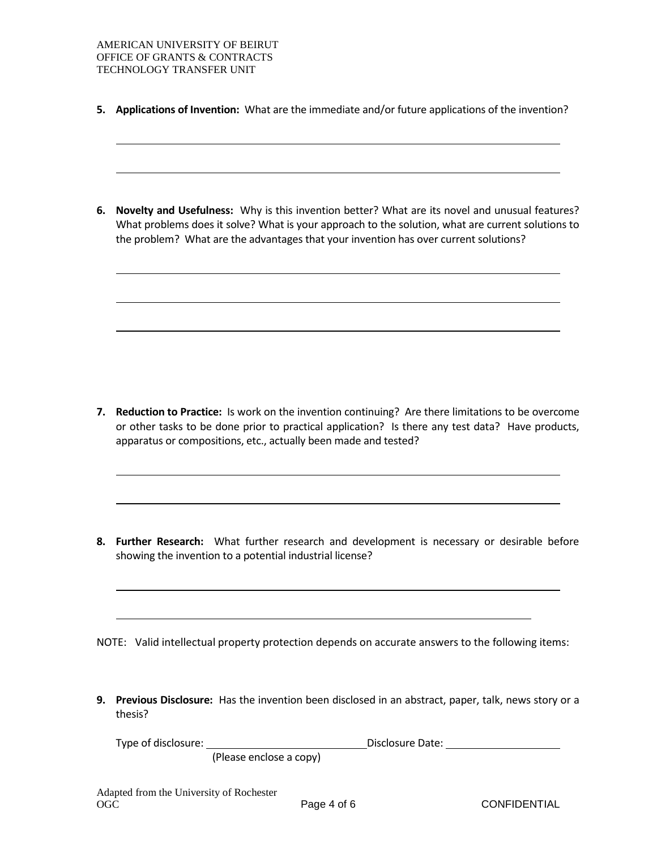**5. Applications of Invention:** What are the immediate and/or future applications of the invention?

**6. Novelty and Usefulness:** Why is this invention better? What are its novel and unusual features? What problems does it solve? What is your approach to the solution, what are current solutions to the problem? What are the advantages that your invention has over current solutions?

**7. Reduction to Practice:** Is work on the invention continuing? Are there limitations to be overcome or other tasks to be done prior to practical application? Is there any test data? Have products, apparatus or compositions, etc., actually been made and tested?

**8. Further Research:** What further research and development is necessary or desirable before showing the invention to a potential industrial license?

NOTE: Valid intellectual property protection depends on accurate answers to the following items:

**9. Previous Disclosure:** Has the invention been disclosed in an abstract, paper, talk, news story or a thesis?

| Type of disclosure: |                         | Disclosure Date: |  |
|---------------------|-------------------------|------------------|--|
|                     | (Please enclose a copy) |                  |  |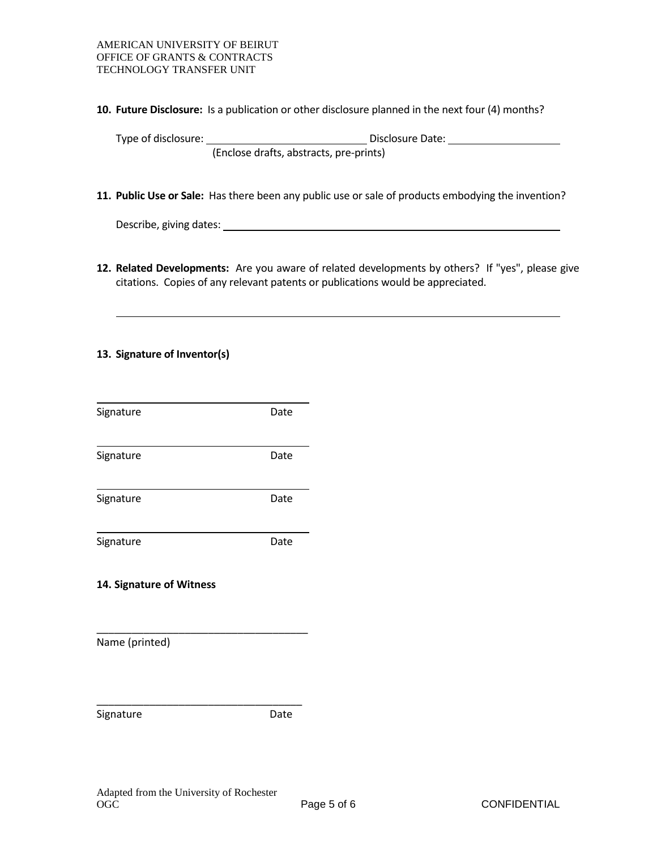**10. Future Disclosure:** Is a publication or other disclosure planned in the next four (4) months?

Type of disclosure: Disclosure Date:

- (Enclose drafts, abstracts, pre-prints)
- **11. Public Use or Sale:** Has there been any public use or sale of products embodying the invention?

Describe, giving dates:

**12. Related Developments:** Are you aware of related developments by others? If "yes", please give citations. Copies of any relevant patents or publications would be appreciated.

# **13. Signature of Inventor(s)**

| Signature                | Date |
|--------------------------|------|
| Signature                | Date |
| Signature                | Date |
| Signature                | Date |
| 14. Signature of Witness |      |
| Name (printed)           |      |
| Signature                | Date |